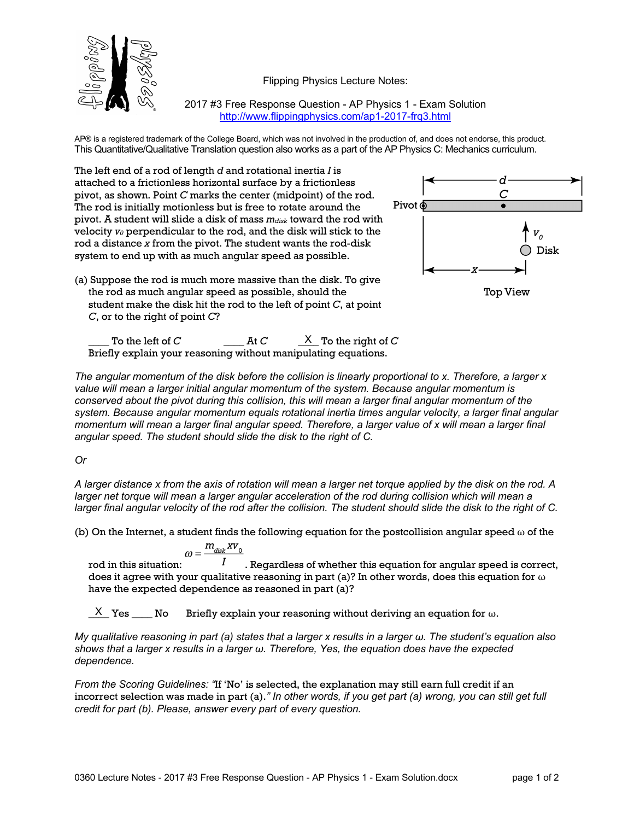Flipping Physics Lecture Notes:



2017 #3 Free Response Question - AP Physics 1 - Exam Solution http://www.flippingphysics.com/ap1-2017-frq3.html

AP® is a registered trademark of the College Board, which was not involved in the production of, and does not endorse, this product. This Quantitative/Qualitative Translation question also works as a part of the AP Physics C: Mechanics curriculum.

The left end of a rod of length *d* and rotational inertia *I* is attached to a frictionless horizontal surface by a frictionless pivot, as shown. Point *C* marks the center (midpoint) of the rod. The rod is initially motionless but is free to rotate around the pivot. A student will slide a disk of mass  $m_{disk}$  toward the rod with velocity *v0* perpendicular to the rod, and the disk will stick to the rod a distance *x* from the pivot. The student wants the rod-disk system to end up with as much angular speed as possible.

(a) Suppose the rod is much more massive than the disk. To give the rod as much angular speed as possible, should the student make the disk hit the rod to the left of point *C*, at point *C*, or to the right of point *C*?





 $\begin{array}{ccc} \text{\_} & \text{\_} & \text{\_} & \text{\_} & \text{\_} & \text{\_} & \text{\_} & \text{\_} & \text{\_} & \text{\_} & \text{\_} & \text{\_} & \text{\_} & \text{\_} & \text{\_} & \text{\_} & \text{\_} & \text{\_} & \text{\_} & \text{\_} & \text{\_} & \text{\_} & \text{\_} & \text{\_} & \text{\_} & \text{\_} & \text{\_} & \text{\_} & \text{\_} & \text{\_} & \text{\_} & \text{\_} & \text{\_} & \text{\_} & \text{\_} & \text{\$ Briefly explain your reasoning without manipulating equations.

*The angular momentum of the disk before the collision is linearly proportional to x. Therefore, a larger x value will mean a larger initial angular momentum of the system. Because angular momentum is conserved about the pivot during this collision, this will mean a larger final angular momentum of the system. Because angular momentum equals rotational inertia times angular velocity, a larger final angular momentum will mean a larger final angular speed. Therefore, a larger value of x will mean a larger final angular speed. The student should slide the disk to the right of C.*

## *Or*

*A larger distance x from the axis of rotation will mean a larger net torque applied by the disk on the rod. A larger net torque will mean a larger angular acceleration of the rod during collision which will mean a larger final angular velocity of the rod after the collision. The student should slide the disk to the right of C.*

(b) On the Internet, a student finds the following equation for the postcollision angular speed  $\omega$  of the

$$
\omega = \frac{m_{\text{disk}} x v_0}{}
$$

rod in this situation:  $I$  Regardless of whether this equation for angular speed is correct, does it agree with your qualitative reasoning in part (a)? In other words, does this equation for  $\omega$ have the expected dependence as reasoned in part (a)?

Briefly explain your reasoning without deriving an equation for  $\omega$ . X Yes No

*My qualitative reasoning in part (a) states that a larger x results in a larger ω. The student's equation also shows that a larger x results in a larger ω. Therefore, Yes, the equation does have the expected dependence.*

*From the Scoring Guidelines: "*If 'No' is selected, the explanation may still earn full credit if an incorrect selection was made in part (a).*" In other words, if you get part (a) wrong, you can still get full credit for part (b). Please, answer every part of every question.*